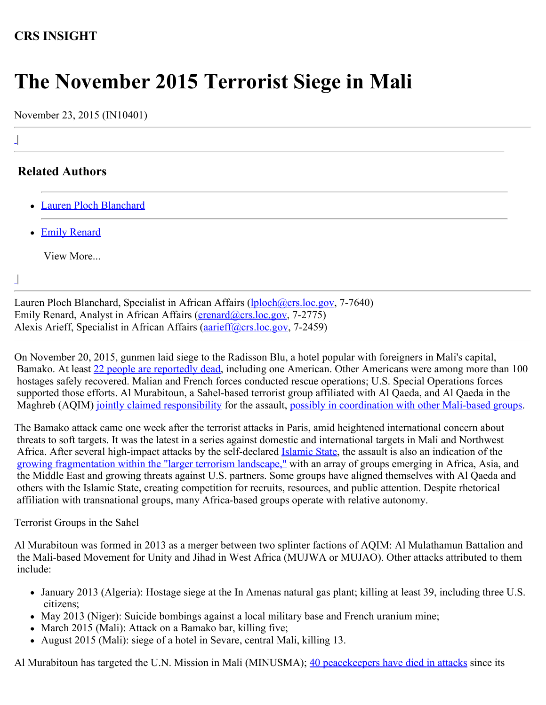## **CRS INSIGHT**

## **The November 2015 Terrorist Siege in Mali**

November 23, 2015 (IN10401)

## **Related Authors**

- [Lauren Ploch Blanchard](http://www.crs.gov/Author/index?id=100895)
- [Emily Renard](http://www.crs.gov/Author/index?id=105101)

View More...

|  $\overline{\phantom{a}}$ 

|

 $\overline{\phantom{a}}$ 

Lauren Ploch Blanchard, Specialist in African Affairs (*lploch@crs.loc.gov, 7-7640*) Emily Renard, Analyst in African Affairs [\(erenard@crs.loc.gov](mailto:erenard@crs.loc.gov), 7-2775) Alexis Arieff, Specialist in African Affairs (*aarieff@crs.loc.gov, 7-2459*)

On November 20, 2015, gunmen laid siege to the Radisson Blu, a hotel popular with foreigners in Mali's capital, Bamako. At least [22 people are reportedly dead,](https://minusma.unmissions.org/attentat-%C3%A0-bamako-la-minusma-aux-c%C3%B4t%C3%A9s-des-forces-de-d%C3%A9fense-et-de-s%C3%A9curit%C3%A9-maliennes) including one American. Other Americans were among more than 100 hostages safely recovered. Malian and French forces conducted rescue operations; U.S. Special Operations forces supported those efforts. Al Murabitoun, a Sahel-based terrorist group affiliated with Al Qaeda, and Al Qaeda in the Maghreb (AQIM) [jointly claimed responsibility](http://uk.reuters.com/article/2015/11/20/uk-mali-attacks-claim-idUKKCN0T92GK20151120) for the assault, [possibly in coordination with other Mali-based groups](http://www.france24.com/en/20151123-mali-hotel-attack-second-group-responsibility-mourning#./20151123-mali-hotel-attack-second-group-responsibility-mourning?&_suid=1448300421941036209770594433743).

The Bamako attack came one week after the terrorist attacks in Paris, amid heightened international concern about threats to soft targets. It was the latest in a series against domestic and international targets in Mali and Northwest Africa. After several high-impact attacks by the self-declared [Islamic State](http://www.nctc.gov/docs/Current_Terrorist_Threat_to_the_United_States.pdf), the assault is also an indication of the [growing fragmentation](http://www.nctc.gov/docs/Current_Terrorist_Threat_to_the_United_States.pdf) [within the "larger terrorism landscape,"](http://www.nctc.gov/docs/Current_Terrorist_Threat_to_the_United_States.pdf) with an array of groups emerging in Africa, Asia, and the Middle East and growing threats against U.S. partners. Some groups have aligned themselves with Al Qaeda and others with the Islamic State, creating competition for recruits, resources, and public attention. Despite rhetorical affiliation with transnational groups, many Africa-based groups operate with relative autonomy.

Terrorist Groups in the Sahel

Al Murabitoun was formed in 2013 as a merger between two splinter factions of AQIM: Al Mulathamun Battalion and the Mali-based Movement for Unity and Jihad in West Africa (MUJWA or MUJAO). Other attacks attributed to them include:

- January 2013 (Algeria): Hostage siege at the In Amenas natural gas plant; killing at least 39, including three U.S. citizens;
- May 2013 (Niger): Suicide bombings against a local military base and French uranium mine;
- March 2015 (Mali): Attack on a Bamako bar, killing five;
- August 2015 (Mali): siege of a hotel in Sevare, central Mali, killing 13.

Al Murabitoun has targeted the U.N. Mission in Mali (MINUSMA); 40 peace keepers have died in attacks since its